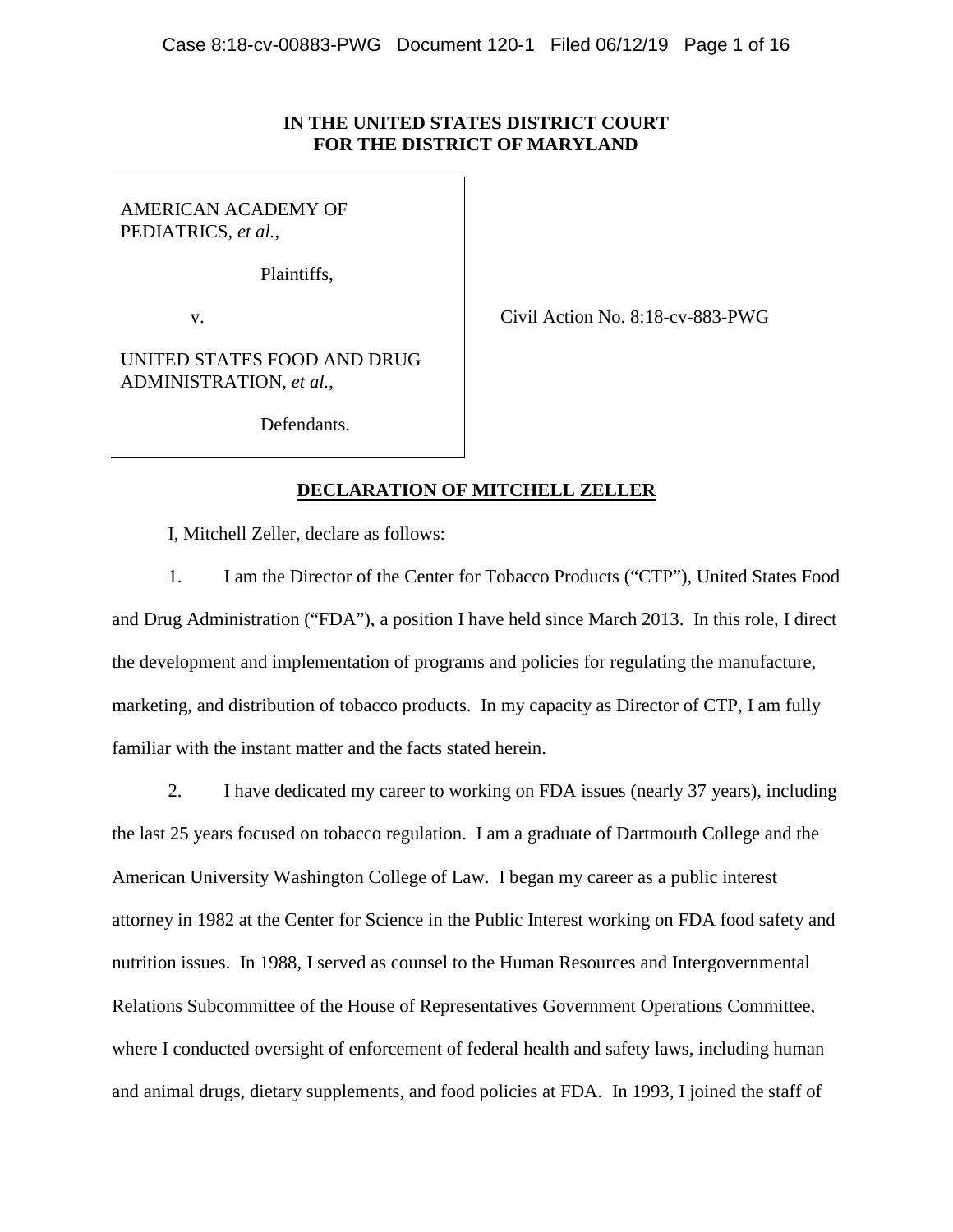# **IN THE UNITED STATES DISTRICT COURT FOR THE DISTRICT OF MARYLAND**

AMERICAN ACADEMY OF PEDIATRICS, *et al.*,

Plaintiffs,

v. Civil Action No. 8:18-cv-883-PWG

UNITED STATES FOOD AND DRUG ADMINISTRATION, *et al.*,

Defendants.

# **DECLARATION OF MITCHELL ZELLER**

I, Mitchell Zeller, declare as follows:

1. I am the Director of the Center for Tobacco Products ("CTP"), United States Food and Drug Administration ("FDA"), a position I have held since March 2013. In this role, I direct the development and implementation of programs and policies for regulating the manufacture, marketing, and distribution of tobacco products. In my capacity as Director of CTP, I am fully familiar with the instant matter and the facts stated herein.

2. I have dedicated my career to working on FDA issues (nearly 37 years), including the last 25 years focused on tobacco regulation. I am a graduate of Dartmouth College and the American University Washington College of Law. I began my career as a public interest attorney in 1982 at the Center for Science in the Public Interest working on FDA food safety and nutrition issues. In 1988, I served as counsel to the Human Resources and Intergovernmental Relations Subcommittee of the House of Representatives Government Operations Committee, where I conducted oversight of enforcement of federal health and safety laws, including human and animal drugs, dietary supplements, and food policies at FDA. In 1993, I joined the staff of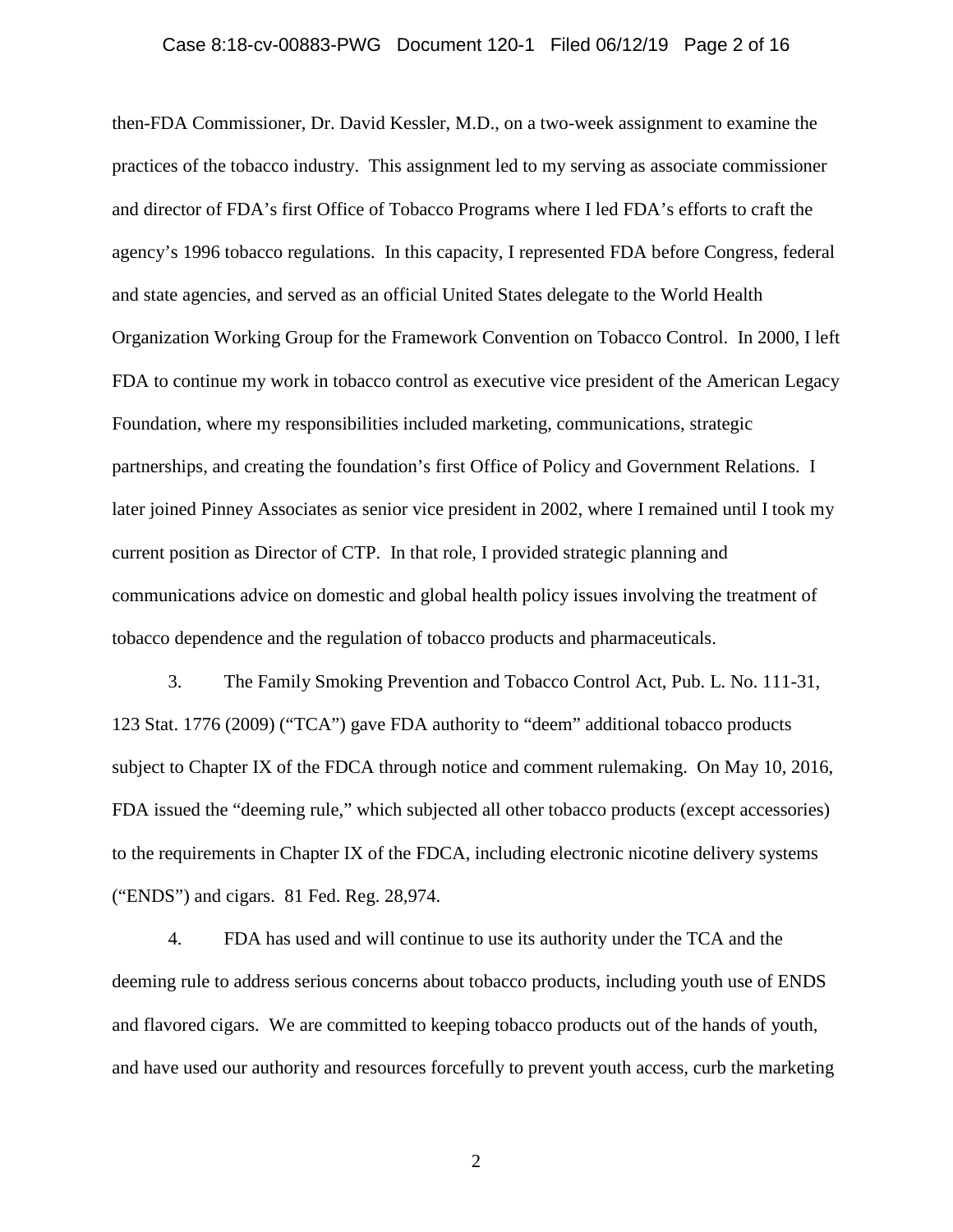then-FDA Commissioner, Dr. David Kessler, M.D., on a two-week assignment to examine the practices of the tobacco industry. This assignment led to my serving as associate commissioner and director of FDA's first Office of Tobacco Programs where I led FDA's efforts to craft the agency's 1996 tobacco regulations. In this capacity, I represented FDA before Congress, federal and state agencies, and served as an official United States delegate to the World Health Organization Working Group for the Framework Convention on Tobacco Control. In 2000, I left FDA to continue my work in tobacco control as executive vice president of the American Legacy Foundation, where my responsibilities included marketing, communications, strategic partnerships, and creating the foundation's first Office of Policy and Government Relations. I later joined Pinney Associates as senior vice president in 2002, where I remained until I took my current position as Director of CTP. In that role, I provided strategic planning and communications advice on domestic and global health policy issues involving the treatment of tobacco dependence and the regulation of tobacco products and pharmaceuticals.

3. The Family Smoking Prevention and Tobacco Control Act, Pub. L. No. 111-31, 123 Stat. 1776 (2009) ("TCA") gave FDA authority to "deem" additional tobacco products subject to Chapter IX of the FDCA through notice and comment rulemaking. On May 10, 2016, FDA issued the "deeming rule," which subjected all other tobacco products (except accessories) to the requirements in Chapter IX of the FDCA, including electronic nicotine delivery systems ("ENDS") and cigars. 81 Fed. Reg. 28,974.

4. FDA has used and will continue to use its authority under the TCA and the deeming rule to address serious concerns about tobacco products, including youth use of ENDS and flavored cigars. We are committed to keeping tobacco products out of the hands of youth, and have used our authority and resources forcefully to prevent youth access, curb the marketing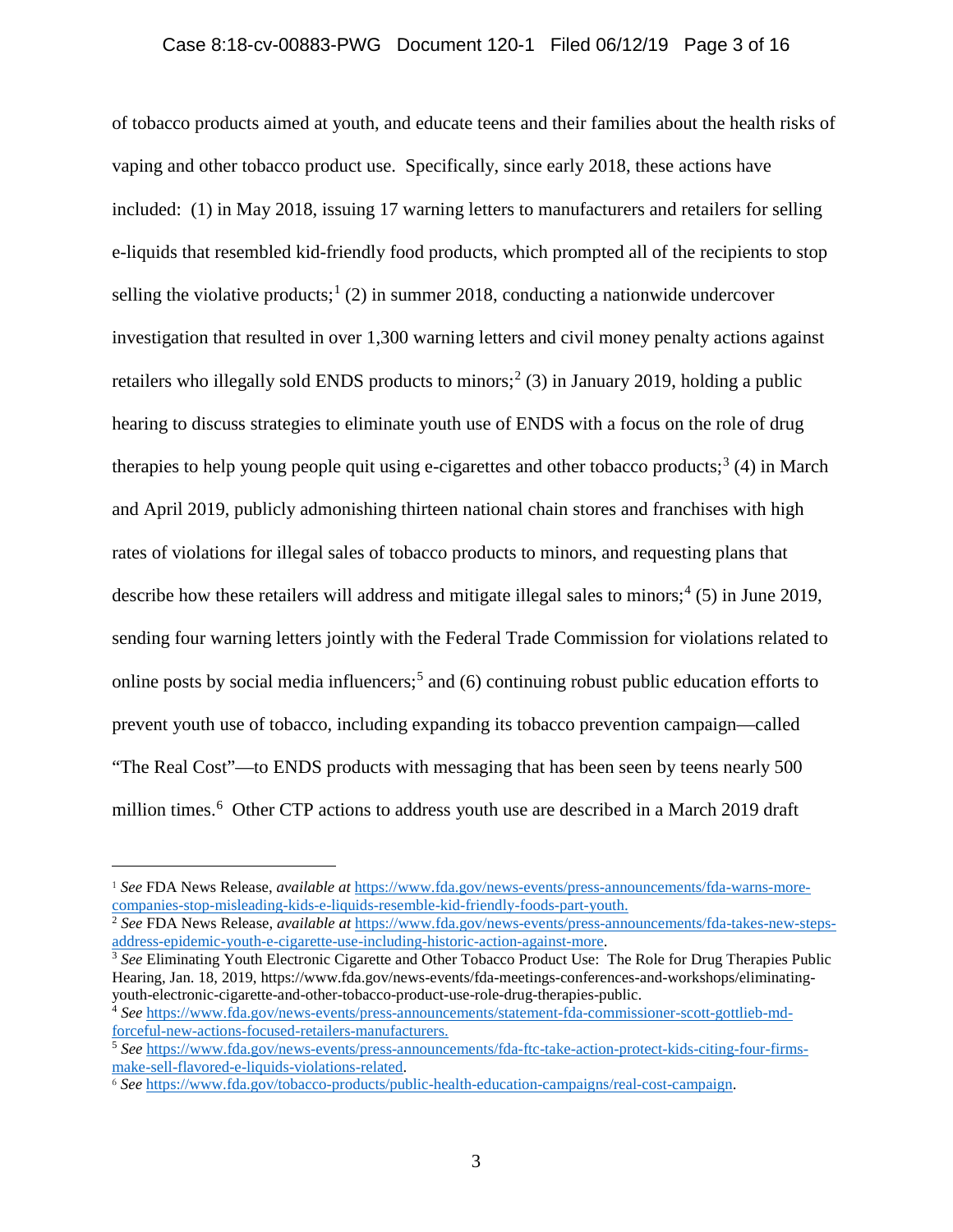of tobacco products aimed at youth, and educate teens and their families about the health risks of vaping and other tobacco product use. Specifically, since early 2018, these actions have included: (1) in May 2018, issuing 17 warning letters to manufacturers and retailers for selling e-liquids that resembled kid-friendly food products, which prompted all of the recipients to stop selling the violative products;<sup>[1](#page-2-0)</sup> (2) in summer 2018, conducting a nationwide undercover investigation that resulted in over 1,300 warning letters and civil money penalty actions against retailers who illegally sold ENDS products to minors;<sup>[2](#page-2-1)</sup> (3) in January 2019, holding a public hearing to discuss strategies to eliminate youth use of ENDS with a focus on the role of drug therapies to help young people quit using e-cigarettes and other tobacco products;<sup>[3](#page-2-2)</sup> (4) in March and April 2019, publicly admonishing thirteen national chain stores and franchises with high rates of violations for illegal sales of tobacco products to minors, and requesting plans that describe how these retailers will address and mitigate illegal sales to minors; [4](#page-2-3) (5) in June 2019, sending four warning letters jointly with the Federal Trade Commission for violations related to online posts by social media influencers;<sup>[5](#page-2-4)</sup> and (6) continuing robust public education efforts to prevent youth use of tobacco, including expanding its tobacco prevention campaign—called "The Real Cost"—to ENDS products with messaging that has been seen by teens nearly 500 million times.<sup>[6](#page-2-5)</sup> Other CTP actions to address youth use are described in a March 2019 draft

<span id="page-2-2"></span> $3$  See Eliminating Youth Electronic Cigarette and Other Tobacco Product Use: The Role for Drug Therapies Public Hearing, Jan. 18, 2019, https://www.fda.gov/news-events/fda-meetings-conferences-and-workshops/eliminating-<br>youth-electronic-cigarette-and-other-tobacco-product-use-role-drug-therapies-public.

<span id="page-2-0"></span><sup>1</sup> *See* FDA News Release, *available at* [https://www.fda.gov/news-events/press-announcements/fda-warns-more](https://www.fda.gov/news-events/press-announcements/fda-warns-more-companies-stop-misleading-kids-e-liquids-resemble-kid-friendly-foods-part-youth)[companies-stop-misleading-kids-e-liquids-resemble-kid-friendly-foods-part-youth.](https://www.fda.gov/news-events/press-announcements/fda-warns-more-companies-stop-misleading-kids-e-liquids-resemble-kid-friendly-foods-part-youth)

<span id="page-2-1"></span><sup>&</sup>lt;sup>2</sup> See FDA News Release, *available at* https://www.fda.gov/news-events/press-announcements/fda-takes-new-steps-<br>address-epidemic-youth-e-cigarette-use-including-historic-action-against-more.

<span id="page-2-3"></span><sup>&</sup>lt;sup>4</sup> See [https://www.fda.gov/news-events/press-announcements/statement-fda-commissioner-scott-gottlieb-md](https://www.fda.gov/news-events/press-announcements/statement-fda-commissioner-scott-gottlieb-md-forceful-new-actions-focused-retailers-manufacturers)[forceful-new-actions-focused-retailers-manufacturers.](https://www.fda.gov/news-events/press-announcements/statement-fda-commissioner-scott-gottlieb-md-forceful-new-actions-focused-retailers-manufacturers)

<span id="page-2-4"></span><sup>5</sup> *See* [https://www.fda.gov/news-events/press-announcements/fda-ftc-take-action-protect-kids-citing-four-firms](https://www.fda.gov/news-events/press-announcements/fda-ftc-take-action-protect-kids-citing-four-firms-make-sell-flavored-e-liquids-violations-related)[make-sell-flavored-e-liquids-violations-related.](https://www.fda.gov/news-events/press-announcements/fda-ftc-take-action-protect-kids-citing-four-firms-make-sell-flavored-e-liquids-violations-related)

<span id="page-2-5"></span><sup>6</sup> *See* [https://www.fda.gov/tobacco-products/public-health-education-campaigns/real-cost-campaign.](https://www.fda.gov/tobacco-products/public-health-education-campaigns/real-cost-campaign)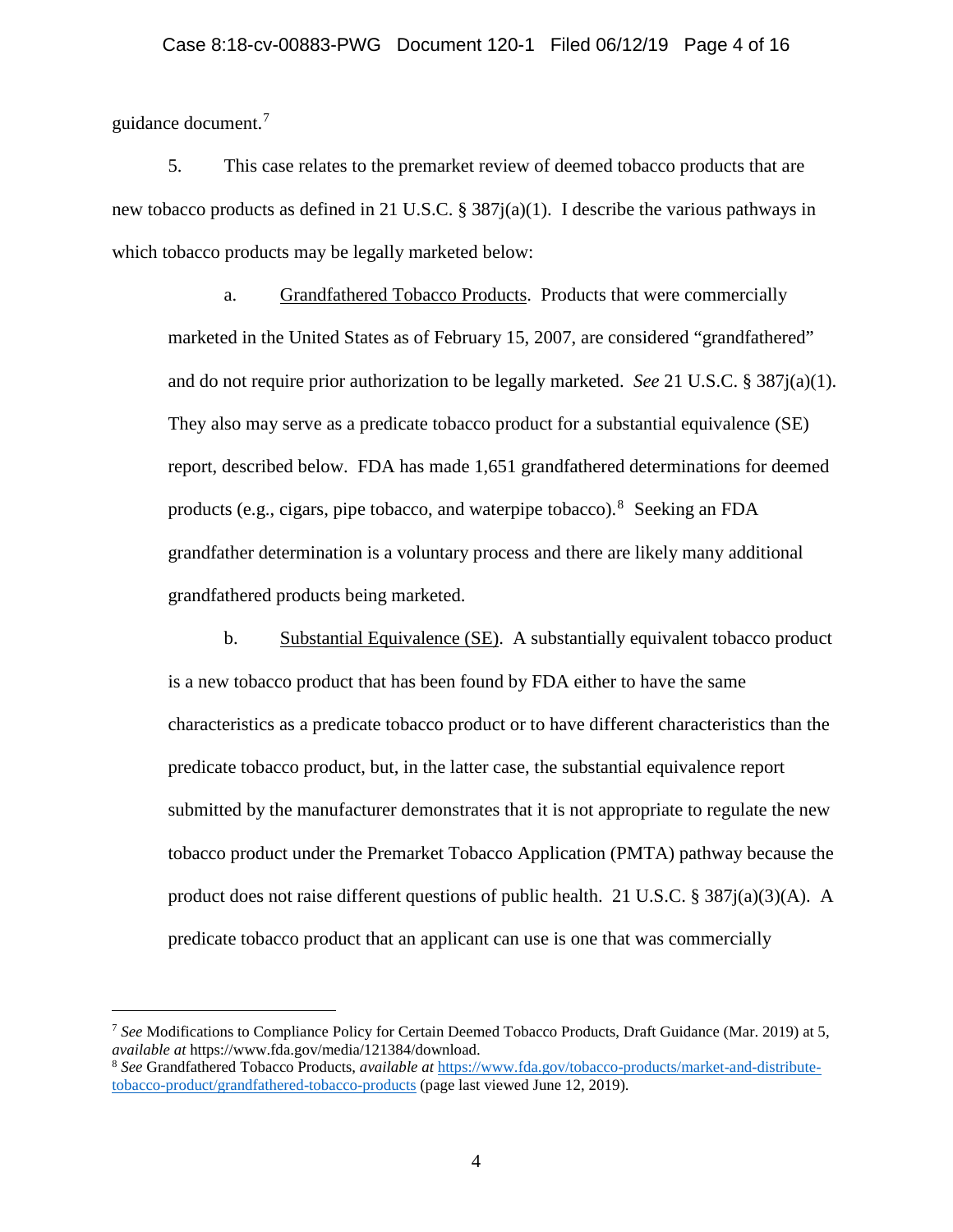guidance document.[7](#page-3-0)

 $\overline{a}$ 

5. This case relates to the premarket review of deemed tobacco products that are new tobacco products as defined in 21 U.S.C. §  $387i(a)(1)$ . I describe the various pathways in which tobacco products may be legally marketed below:

a. Grandfathered Tobacco Products. Products that were commercially marketed in the United States as of February 15, 2007, are considered "grandfathered" and do not require prior authorization to be legally marketed. *See* 21 U.S.C. § 387j(a)(1). They also may serve as a predicate tobacco product for a substantial equivalence (SE) report, described below. FDA has made 1,651 grandfathered determinations for deemed products (e.g., cigars, pipe tobacco, and waterpipe tobacco). <sup>[8](#page-3-1)</sup> Seeking an FDA grandfather determination is a voluntary process and there are likely many additional grandfathered products being marketed.

b. Substantial Equivalence (SE). A substantially equivalent tobacco product is a new tobacco product that has been found by FDA either to have the same characteristics as a predicate tobacco product or to have different characteristics than the predicate tobacco product, but, in the latter case, the substantial equivalence report submitted by the manufacturer demonstrates that it is not appropriate to regulate the new tobacco product under the Premarket Tobacco Application (PMTA) pathway because the product does not raise different questions of public health. 21 U.S.C. § 387 $j(a)(3)(A)$ . A predicate tobacco product that an applicant can use is one that was commercially

<span id="page-3-0"></span><sup>7</sup> *See* Modifications to Compliance Policy for Certain Deemed Tobacco Products, Draft Guidance (Mar. 2019) at 5, *available at* https://www.fda.gov/media/121384/download.

<span id="page-3-1"></span><sup>8</sup> *See* Grandfathered Tobacco Products, *available at* [https://www.fda.gov/tobacco-products/market-and-distribute](https://www.fda.gov/tobacco-products/market-and-distribute-tobacco-product/grandfathered-tobacco-products)[tobacco-product/grandfathered-tobacco-products](https://www.fda.gov/tobacco-products/market-and-distribute-tobacco-product/grandfathered-tobacco-products) (page last viewed June 12, 2019).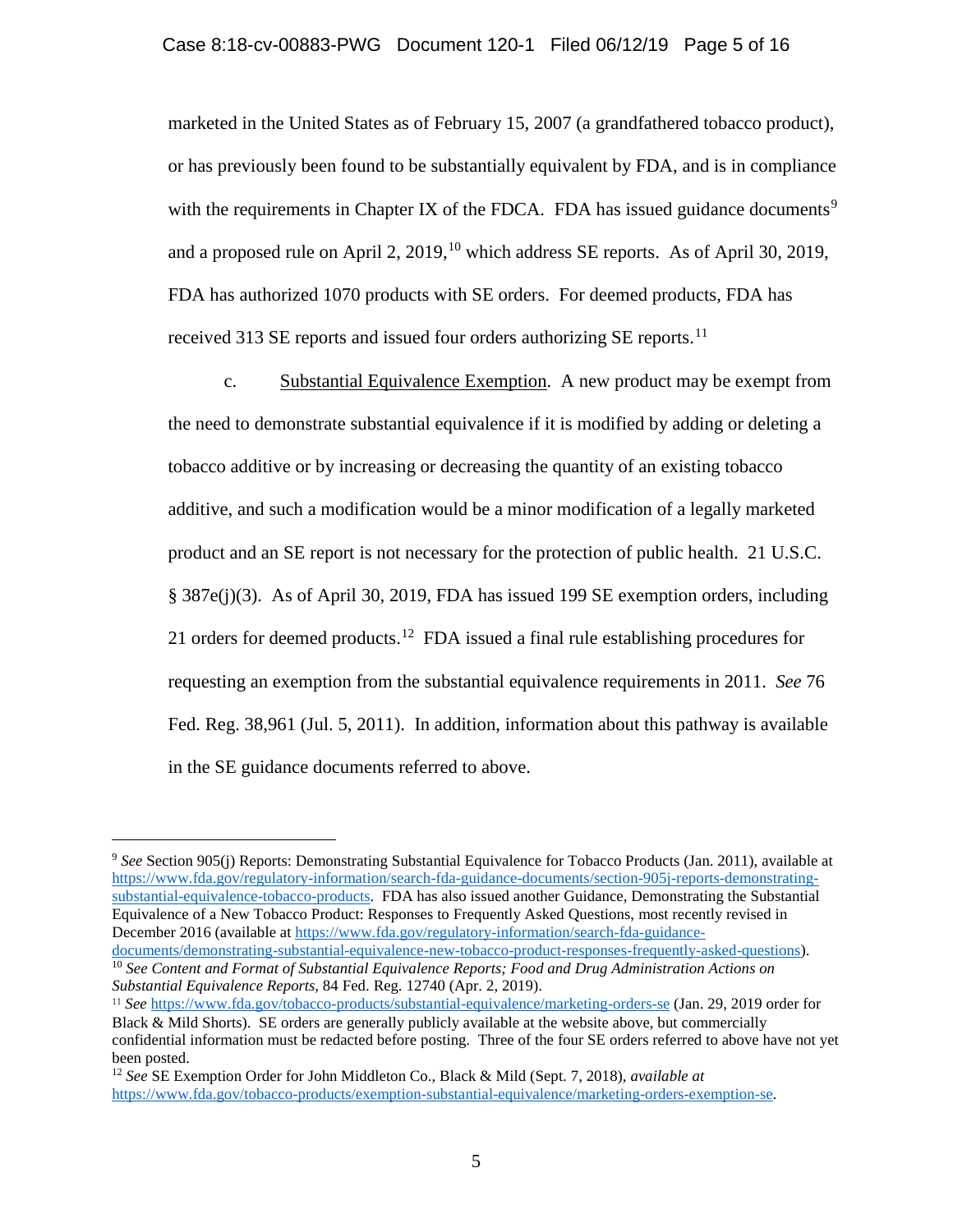marketed in the United States as of February 15, 2007 (a grandfathered tobacco product), or has previously been found to be substantially equivalent by FDA, and is in compliance with the requirements in Chapter IX of the FDCA. FDA has issued guidance documents<sup>[9](#page-4-0)</sup> and a proposed rule on April 2,  $2019$ ,<sup>[10](#page-4-1)</sup> which address SE reports. As of April 30, 2019, FDA has authorized 1070 products with SE orders. For deemed products, FDA has received 313 SE reports and issued four orders authorizing SE reports.<sup>11</sup>

c. Substantial Equivalence Exemption. A new product may be exempt from the need to demonstrate substantial equivalence if it is modified by adding or deleting a tobacco additive or by increasing or decreasing the quantity of an existing tobacco additive, and such a modification would be a minor modification of a legally marketed product and an SE report is not necessary for the protection of public health. 21 U.S.C. § 387e(j)(3). As of April 30, 2019, FDA has issued 199 SE exemption orders, including 21 orders for deemed products.<sup>[12](#page-4-3)</sup> FDA issued a final rule establishing procedures for requesting an exemption from the substantial equivalence requirements in 2011. *See* 76 Fed. Reg. 38,961 (Jul. 5, 2011). In addition, information about this pathway is available in the SE guidance documents referred to above.

 $\overline{a}$ 

<span id="page-4-1"></span><sup>10</sup> See Content and Format of Substantial Equivalence Reports; Food and Drug Administration Actions on *Substantial Equivalence Reports*, 84 Fed. Reg. 12740 (Apr. 2, 2019).

<span id="page-4-0"></span><sup>9</sup> *See* Section 905(j) Reports: Demonstrating Substantial Equivalence for Tobacco Products (Jan. 2011), available at [https://www.fda.gov/regulatory-information/search-fda-guidance-documents/section-905j-reports-demonstrating](https://www.fda.gov/regulatory-information/search-fda-guidance-documents/section-905j-reports-demonstrating-substantial-equivalence-tobacco-products)[substantial-equivalence-tobacco-products.](https://www.fda.gov/regulatory-information/search-fda-guidance-documents/section-905j-reports-demonstrating-substantial-equivalence-tobacco-products) FDA has also issued another Guidance, Demonstrating the Substantial Equivalence of a New Tobacco Product: Responses to Frequently Asked Questions, most recently revised in December 2016 (available at https://www.fda.gov/regulatory-information/search-fda-guidance-<br>documents/demonstrating-substantial-equivalence-new-tobacco-product-responses-frequently-asked-questions).

<span id="page-4-2"></span><sup>11</sup> *See* <https://www.fda.gov/tobacco-products/substantial-equivalence/marketing-orders-se> (Jan. 29, 2019 order for Black & Mild Shorts). SE orders are generally publicly available at the website above, but commercially confidential information must be redacted before posting. Three of the four SE orders referred to above have not yet been posted.

<span id="page-4-3"></span><sup>12</sup> *See* SE Exemption Order for John Middleton Co., Black & Mild (Sept. 7, 2018), *available at* [https://www.fda.gov/tobacco-products/exemption-substantial-equivalence/marketing-orders-exemption-se.](https://www.fda.gov/tobacco-products/exemption-substantial-equivalence/marketing-orders-exemption-se)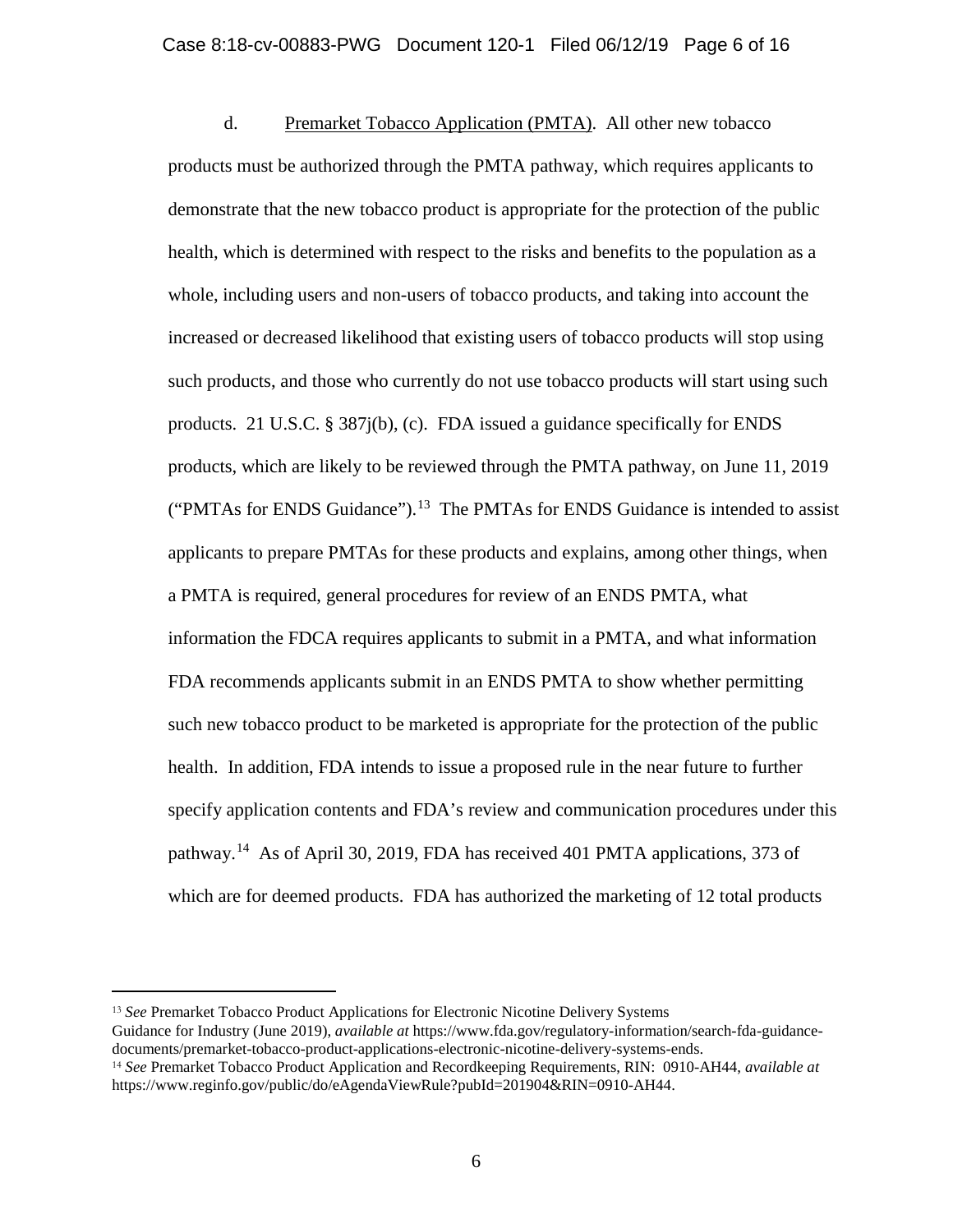d. Premarket Tobacco Application (PMTA). All other new tobacco products must be authorized through the PMTA pathway, which requires applicants to demonstrate that the new tobacco product is appropriate for the protection of the public health, which is determined with respect to the risks and benefits to the population as a whole, including users and non-users of tobacco products, and taking into account the increased or decreased likelihood that existing users of tobacco products will stop using such products, and those who currently do not use tobacco products will start using such products. 21 U.S.C.  $\S 387j(b)$ , (c). FDA issued a guidance specifically for ENDS products, which are likely to be reviewed through the PMTA pathway, on June 11, 2019 ("PMTAs for ENDS Guidance").<sup>13</sup> The PMTAs for ENDS Guidance is intended to assist applicants to prepare PMTAs for these products and explains, among other things, when a PMTA is required, general procedures for review of an ENDS PMTA, what information the FDCA requires applicants to submit in a PMTA, and what information FDA recommends applicants submit in an ENDS PMTA to show whether permitting such new tobacco product to be marketed is appropriate for the protection of the public health. In addition, FDA intends to issue a proposed rule in the near future to further specify application contents and FDA's review and communication procedures under this pathway.<sup>[14](#page-5-1)</sup> As of April 30, 2019, FDA has received 401 PMTA applications, 373 of which are for deemed products. FDA has authorized the marketing of 12 total products

<span id="page-5-0"></span><sup>13</sup> *See* Premarket Tobacco Product Applications for Electronic Nicotine Delivery Systems

Guidance for Industry (June 2019), *available at* https://www.fda.gov/regulatory-information/search-fda-guidancedocuments/premarket-tobacco-product-applications-electronic-nicotine-delivery-systems-ends.

<span id="page-5-1"></span><sup>14</sup> *See* Premarket Tobacco Product Application and Recordkeeping Requirements, RIN: 0910-AH44, *available at* https://www.reginfo.gov/public/do/eAgendaViewRule?pubId=201904&RIN=0910-AH44.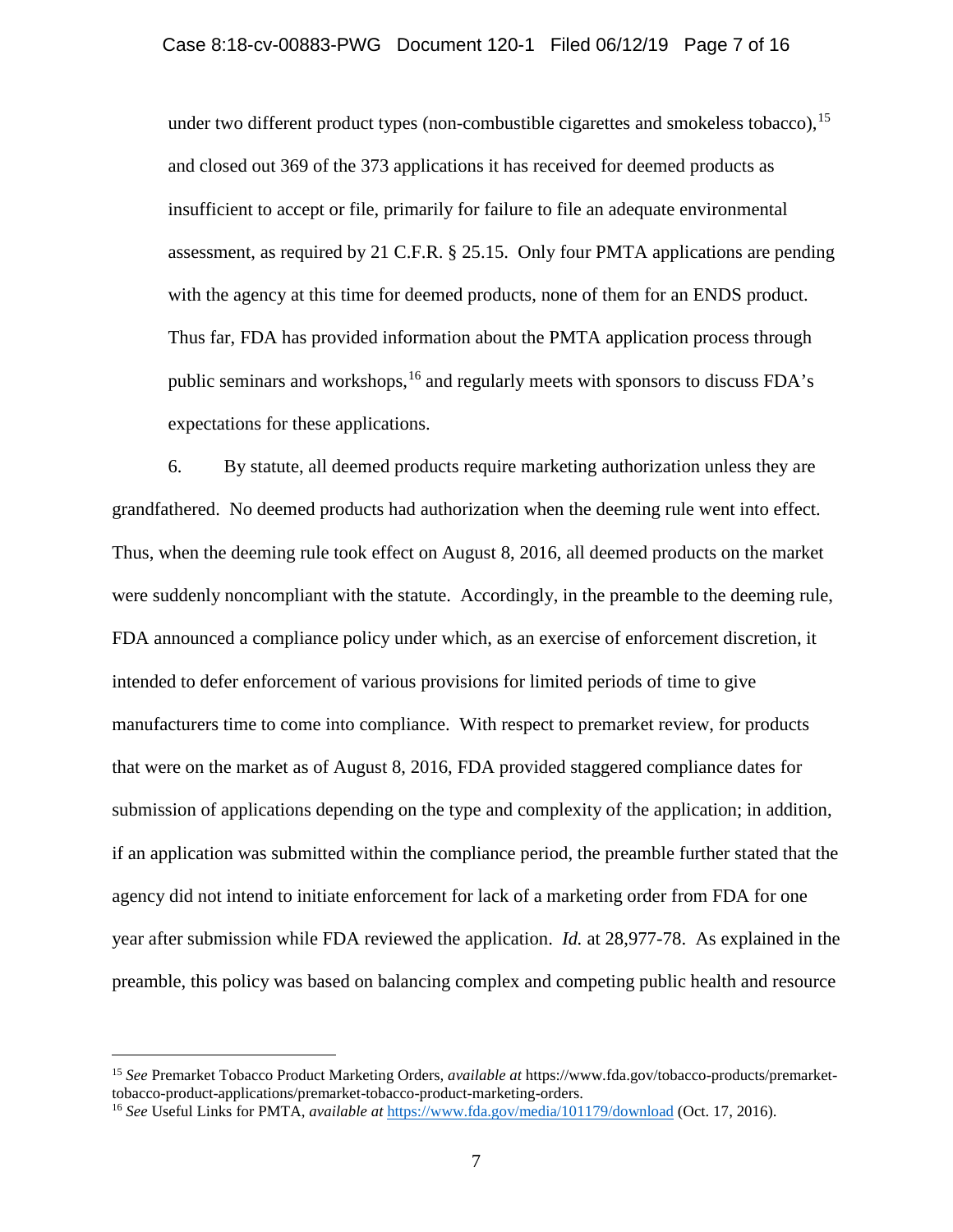under two different product types (non-combustible cigarettes and smokeless tobacco), <sup>[15](#page-6-0)</sup> and closed out 369 of the 373 applications it has received for deemed products as insufficient to accept or file, primarily for failure to file an adequate environmental assessment, as required by 21 C.F.R. § 25.15. Only four PMTA applications are pending with the agency at this time for deemed products, none of them for an ENDS product. Thus far, FDA has provided information about the PMTA application process through public seminars and workshops, [16](#page-6-1) and regularly meets with sponsors to discuss FDA's expectations for these applications.

6. By statute, all deemed products require marketing authorization unless they are grandfathered. No deemed products had authorization when the deeming rule went into effect. Thus, when the deeming rule took effect on August 8, 2016, all deemed products on the market were suddenly noncompliant with the statute. Accordingly, in the preamble to the deeming rule, FDA announced a compliance policy under which, as an exercise of enforcement discretion, it intended to defer enforcement of various provisions for limited periods of time to give manufacturers time to come into compliance. With respect to premarket review, for products that were on the market as of August 8, 2016, FDA provided staggered compliance dates for submission of applications depending on the type and complexity of the application; in addition, if an application was submitted within the compliance period, the preamble further stated that the agency did not intend to initiate enforcement for lack of a marketing order from FDA for one year after submission while FDA reviewed the application. *Id.* at 28,977-78. As explained in the preamble, this policy was based on balancing complex and competing public health and resource

<span id="page-6-0"></span><sup>15</sup> *See* Premarket Tobacco Product Marketing Orders*, available at* https://www.fda.gov/tobacco-products/premarkettobacco-product-applications/premarket-tobacco-product-marketing-orders.

<span id="page-6-1"></span><sup>16</sup> *See* Useful Links for PMTA*, available at* <https://www.fda.gov/media/101179/download> (Oct. 17, 2016).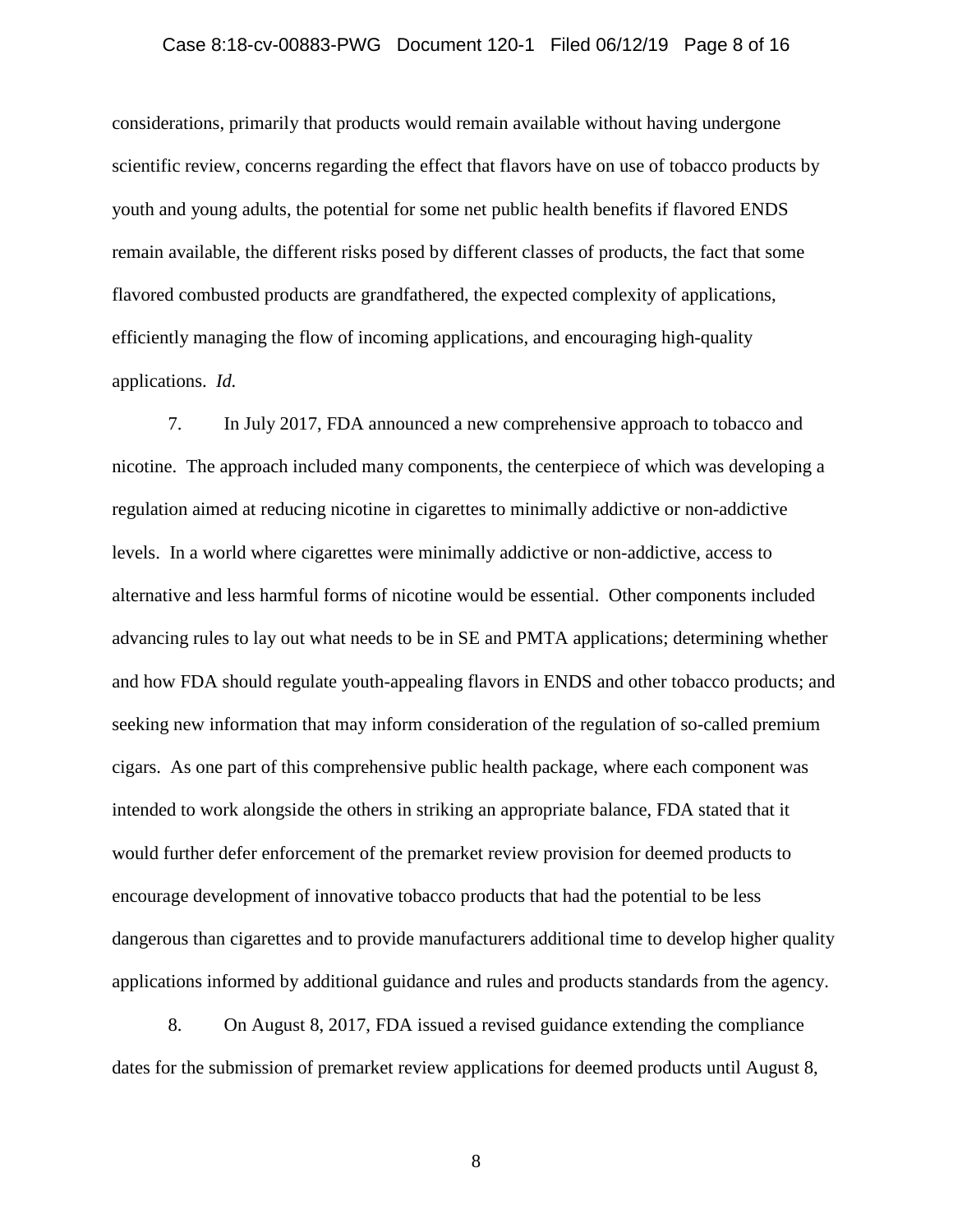### Case 8:18-cv-00883-PWG Document 120-1 Filed 06/12/19 Page 8 of 16

considerations, primarily that products would remain available without having undergone scientific review, concerns regarding the effect that flavors have on use of tobacco products by youth and young adults, the potential for some net public health benefits if flavored ENDS remain available, the different risks posed by different classes of products, the fact that some flavored combusted products are grandfathered, the expected complexity of applications, efficiently managing the flow of incoming applications, and encouraging high-quality applications. *Id.*

7. In July 2017, FDA announced a new comprehensive approach to tobacco and nicotine. The approach included many components, the centerpiece of which was developing a regulation aimed at reducing nicotine in cigarettes to minimally addictive or non-addictive levels. In a world where cigarettes were minimally addictive or non-addictive, access to alternative and less harmful forms of nicotine would be essential. Other components included advancing rules to lay out what needs to be in SE and PMTA applications; determining whether and how FDA should regulate youth-appealing flavors in ENDS and other tobacco products; and seeking new information that may inform consideration of the regulation of so-called premium cigars. As one part of this comprehensive public health package, where each component was intended to work alongside the others in striking an appropriate balance, FDA stated that it would further defer enforcement of the premarket review provision for deemed products to encourage development of innovative tobacco products that had the potential to be less dangerous than cigarettes and to provide manufacturers additional time to develop higher quality applications informed by additional guidance and rules and products standards from the agency.

8. On August 8, 2017, FDA issued a revised guidance extending the compliance dates for the submission of premarket review applications for deemed products until August 8,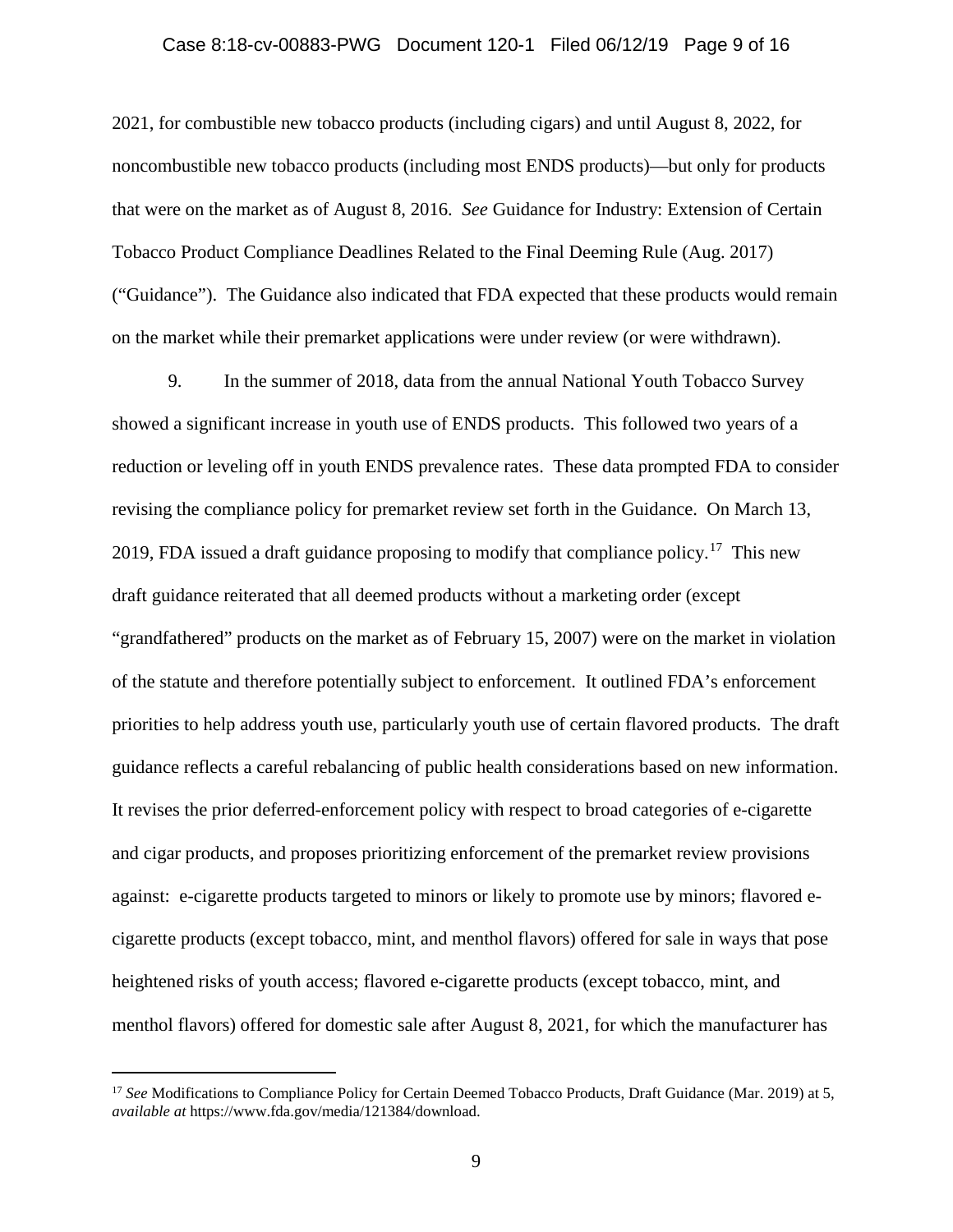# Case 8:18-cv-00883-PWG Document 120-1 Filed 06/12/19 Page 9 of 16

2021, for combustible new tobacco products (including cigars) and until August 8, 2022, for noncombustible new tobacco products (including most ENDS products)—but only for products that were on the market as of August 8, 2016. *See* Guidance for Industry: Extension of Certain Tobacco Product Compliance Deadlines Related to the Final Deeming Rule (Aug. 2017) ("Guidance"). The Guidance also indicated that FDA expected that these products would remain on the market while their premarket applications were under review (or were withdrawn).

9. In the summer of 2018, data from the annual National Youth Tobacco Survey showed a significant increase in youth use of ENDS products. This followed two years of a reduction or leveling off in youth ENDS prevalence rates. These data prompted FDA to consider revising the compliance policy for premarket review set forth in the Guidance. On March 13, 2019, FDA issued a draft guidance proposing to modify that compliance policy.<sup>[17](#page-8-0)</sup> This new draft guidance reiterated that all deemed products without a marketing order (except "grandfathered" products on the market as of February 15, 2007) were on the market in violation of the statute and therefore potentially subject to enforcement. It outlined FDA's enforcement priorities to help address youth use, particularly youth use of certain flavored products. The draft guidance reflects a careful rebalancing of public health considerations based on new information. It revises the prior deferred-enforcement policy with respect to broad categories of e-cigarette and cigar products, and proposes prioritizing enforcement of the premarket review provisions against: e-cigarette products targeted to minors or likely to promote use by minors; flavored ecigarette products (except tobacco, mint, and menthol flavors) offered for sale in ways that pose heightened risks of youth access; flavored e-cigarette products (except tobacco, mint, and menthol flavors) offered for domestic sale after August 8, 2021, for which the manufacturer has

<span id="page-8-0"></span><sup>&</sup>lt;sup>17</sup> See Modifications to Compliance Policy for Certain Deemed Tobacco Products, Draft Guidance (Mar. 2019) at 5, *available at* https://www.fda.gov/media/121384/download.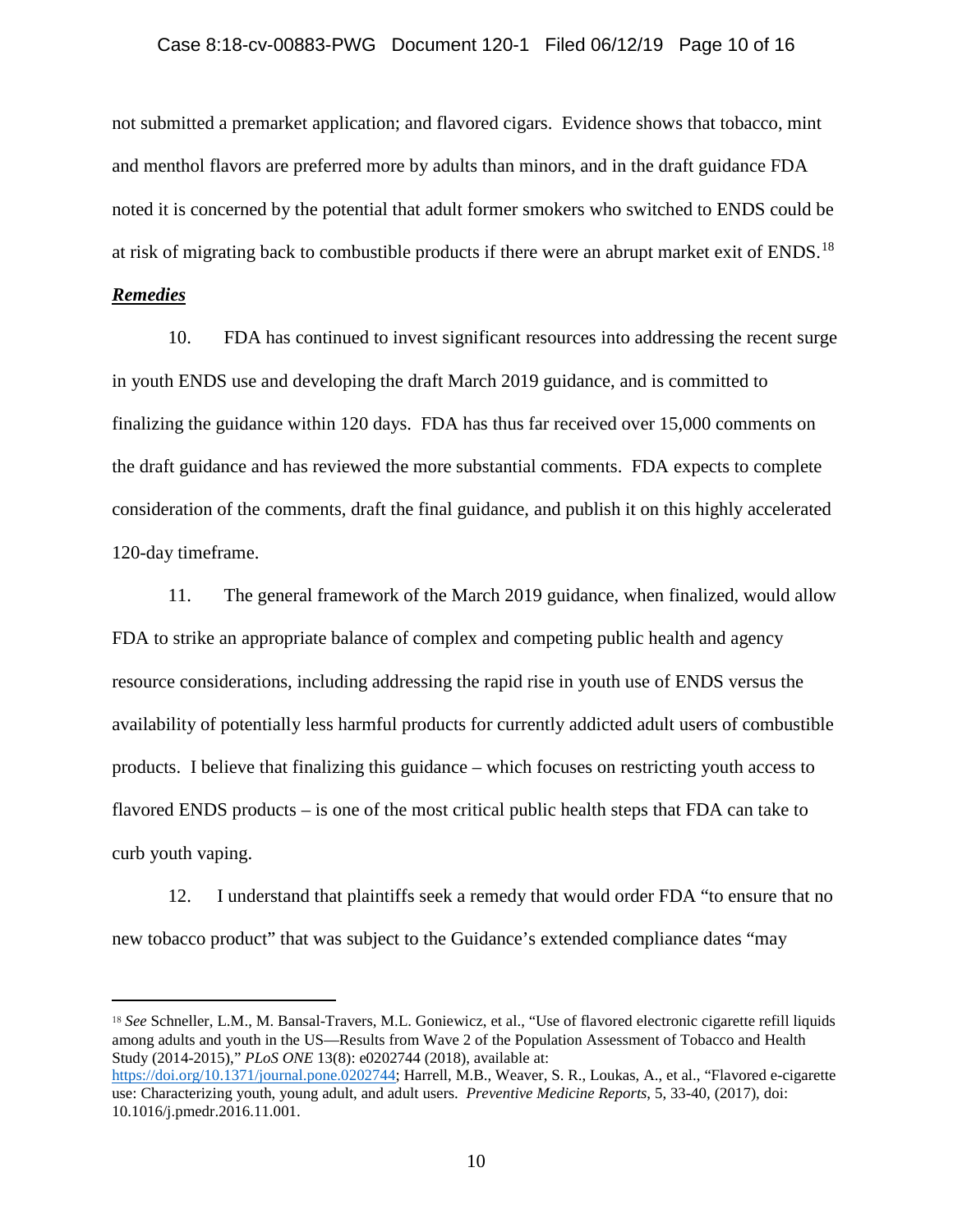#### Case 8:18-cv-00883-PWG Document 120-1 Filed 06/12/19 Page 10 of 16

not submitted a premarket application; and flavored cigars. Evidence shows that tobacco, mint and menthol flavors are preferred more by adults than minors, and in the draft guidance FDA noted it is concerned by the potential that adult former smokers who switched to ENDS could be at risk of migrating back to combustible products if there were an abrupt market exit of ENDS.<sup>[18](#page-9-0)</sup>

#### *Remedies*

 $\overline{a}$ 

10. FDA has continued to invest significant resources into addressing the recent surge in youth ENDS use and developing the draft March 2019 guidance, and is committed to finalizing the guidance within 120 days. FDA has thus far received over 15,000 comments on the draft guidance and has reviewed the more substantial comments. FDA expects to complete consideration of the comments, draft the final guidance, and publish it on this highly accelerated 120-day timeframe.

11. The general framework of the March 2019 guidance, when finalized, would allow FDA to strike an appropriate balance of complex and competing public health and agency resource considerations, including addressing the rapid rise in youth use of ENDS versus the availability of potentially less harmful products for currently addicted adult users of combustible products. I believe that finalizing this guidance – which focuses on restricting youth access to flavored ENDS products – is one of the most critical public health steps that FDA can take to curb youth vaping.

12. I understand that plaintiffs seek a remedy that would order FDA "to ensure that no new tobacco product" that was subject to the Guidance's extended compliance dates "may

<span id="page-9-0"></span><sup>18</sup> *See* Schneller, L.M., M. Bansal-Travers, M.L. Goniewicz, et al., "Use of flavored electronic cigarette refill liquids among adults and youth in the US—Results from Wave 2 of the Population Assessment of Tobacco and Health Study (2014-2015)," *PLoS ONE* 13(8): e0202744 (2018), available at:

[https://doi.org/10.1371/journal.pone.0202744;](https://doi.org/10.1371/journal.pone.0202744) Harrell, M.B., Weaver, S. R., Loukas, A., et al., "Flavored e-cigarette use: Characterizing youth, young adult, and adult users. *Preventive Medicine Reports*, 5, 33-40, (2017), doi: 10.1016/j.pmedr.2016.11.001.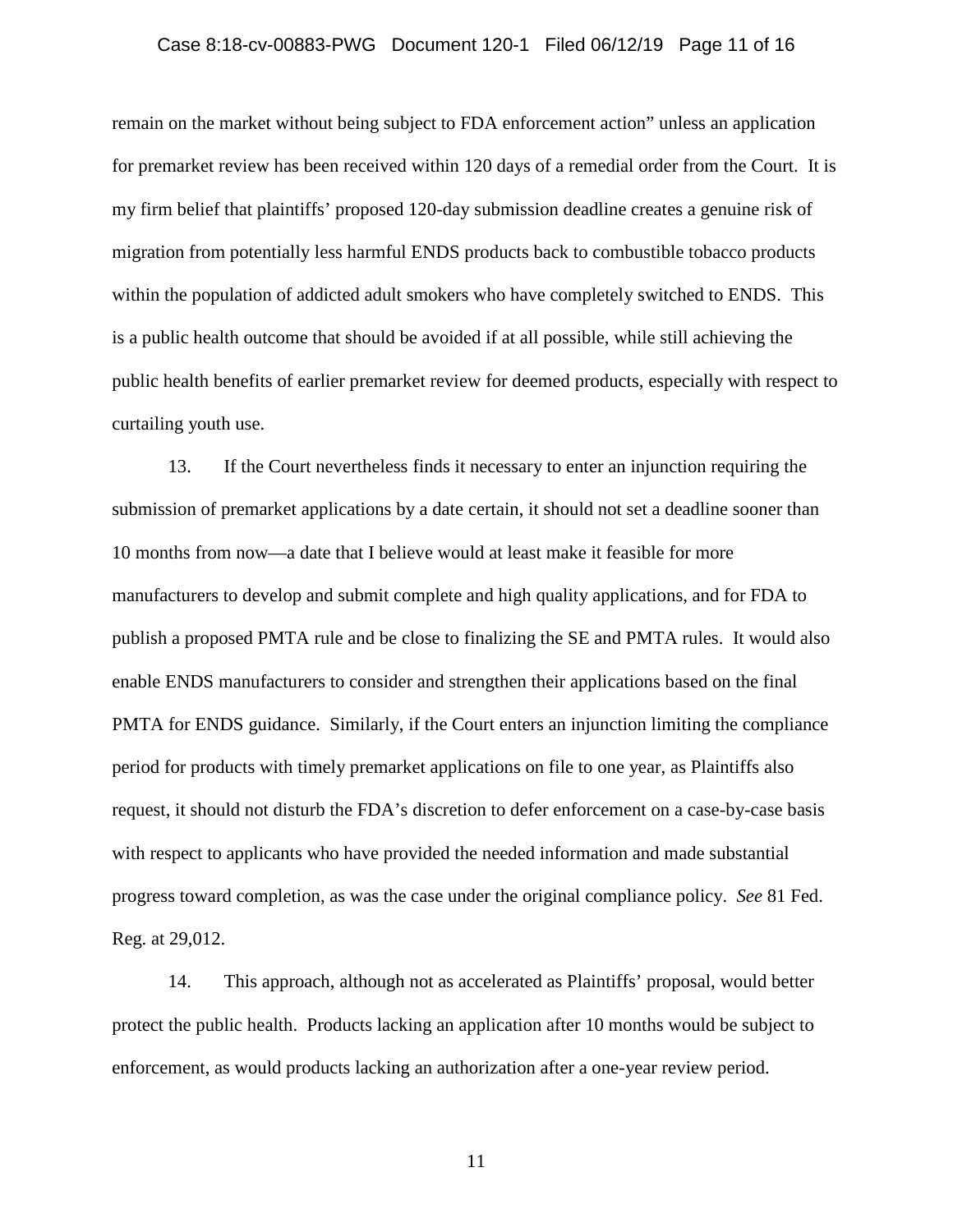# Case 8:18-cv-00883-PWG Document 120-1 Filed 06/12/19 Page 11 of 16

remain on the market without being subject to FDA enforcement action" unless an application for premarket review has been received within 120 days of a remedial order from the Court. It is my firm belief that plaintiffs' proposed 120-day submission deadline creates a genuine risk of migration from potentially less harmful ENDS products back to combustible tobacco products within the population of addicted adult smokers who have completely switched to ENDS. This is a public health outcome that should be avoided if at all possible, while still achieving the public health benefits of earlier premarket review for deemed products, especially with respect to curtailing youth use.

13. If the Court nevertheless finds it necessary to enter an injunction requiring the submission of premarket applications by a date certain, it should not set a deadline sooner than 10 months from now—a date that I believe would at least make it feasible for more manufacturers to develop and submit complete and high quality applications, and for FDA to publish a proposed PMTA rule and be close to finalizing the SE and PMTA rules. It would also enable ENDS manufacturers to consider and strengthen their applications based on the final PMTA for ENDS guidance. Similarly, if the Court enters an injunction limiting the compliance period for products with timely premarket applications on file to one year, as Plaintiffs also request, it should not disturb the FDA's discretion to defer enforcement on a case-by-case basis with respect to applicants who have provided the needed information and made substantial progress toward completion, as was the case under the original compliance policy. *See* 81 Fed. Reg. at 29,012.

14. This approach, although not as accelerated as Plaintiffs' proposal, would better protect the public health. Products lacking an application after 10 months would be subject to enforcement, as would products lacking an authorization after a one-year review period.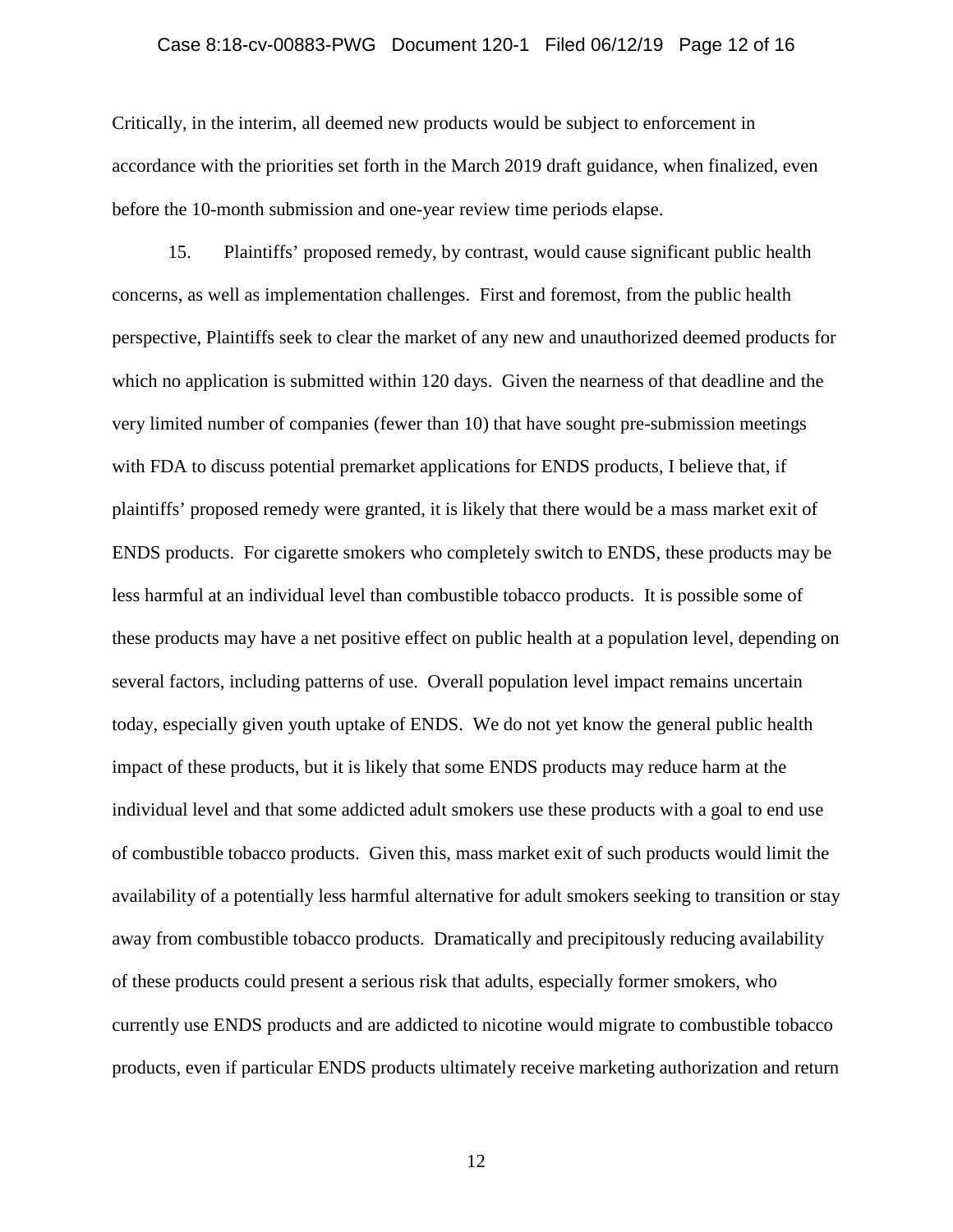## Case 8:18-cv-00883-PWG Document 120-1 Filed 06/12/19 Page 12 of 16

Critically, in the interim, all deemed new products would be subject to enforcement in accordance with the priorities set forth in the March 2019 draft guidance, when finalized, even before the 10-month submission and one-year review time periods elapse.

15. Plaintiffs' proposed remedy, by contrast, would cause significant public health concerns, as well as implementation challenges. First and foremost, from the public health perspective, Plaintiffs seek to clear the market of any new and unauthorized deemed products for which no application is submitted within 120 days. Given the nearness of that deadline and the very limited number of companies (fewer than 10) that have sought pre-submission meetings with FDA to discuss potential premarket applications for ENDS products, I believe that, if plaintiffs' proposed remedy were granted, it is likely that there would be a mass market exit of ENDS products. For cigarette smokers who completely switch to ENDS, these products may be less harmful at an individual level than combustible tobacco products. It is possible some of these products may have a net positive effect on public health at a population level, depending on several factors, including patterns of use. Overall population level impact remains uncertain today, especially given youth uptake of ENDS. We do not yet know the general public health impact of these products, but it is likely that some ENDS products may reduce harm at the individual level and that some addicted adult smokers use these products with a goal to end use of combustible tobacco products. Given this, mass market exit of such products would limit the availability of a potentially less harmful alternative for adult smokers seeking to transition or stay away from combustible tobacco products. Dramatically and precipitously reducing availability of these products could present a serious risk that adults, especially former smokers, who currently use ENDS products and are addicted to nicotine would migrate to combustible tobacco products, even if particular ENDS products ultimately receive marketing authorization and return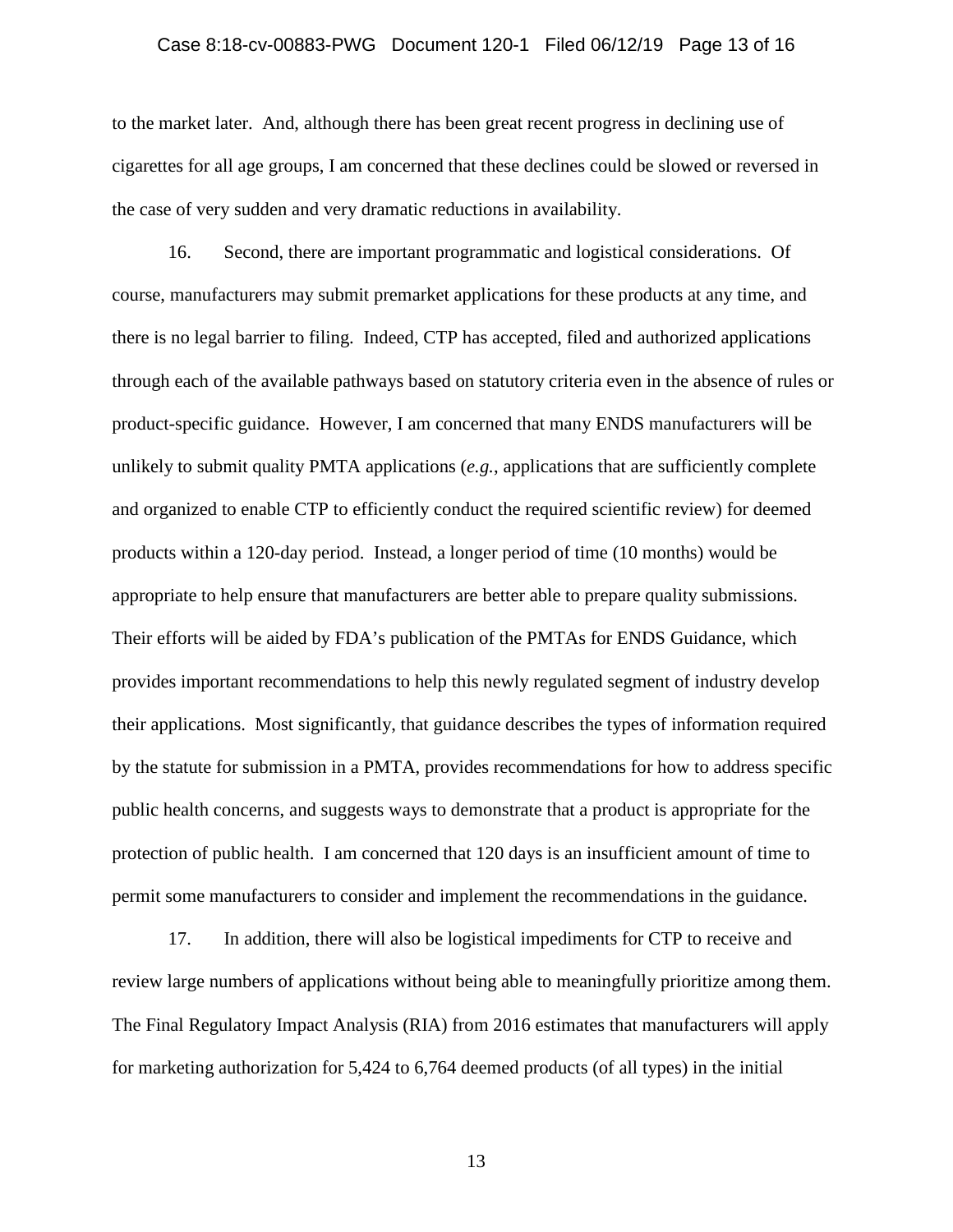# Case 8:18-cv-00883-PWG Document 120-1 Filed 06/12/19 Page 13 of 16

to the market later. And, although there has been great recent progress in declining use of cigarettes for all age groups, I am concerned that these declines could be slowed or reversed in the case of very sudden and very dramatic reductions in availability.

16. Second, there are important programmatic and logistical considerations. Of course, manufacturers may submit premarket applications for these products at any time, and there is no legal barrier to filing. Indeed, CTP has accepted, filed and authorized applications through each of the available pathways based on statutory criteria even in the absence of rules or product-specific guidance. However, I am concerned that many ENDS manufacturers will be unlikely to submit quality PMTA applications (*e.g.*, applications that are sufficiently complete and organized to enable CTP to efficiently conduct the required scientific review) for deemed products within a 120-day period. Instead, a longer period of time (10 months) would be appropriate to help ensure that manufacturers are better able to prepare quality submissions. Their efforts will be aided by FDA's publication of the PMTAs for ENDS Guidance, which provides important recommendations to help this newly regulated segment of industry develop their applications. Most significantly, that guidance describes the types of information required by the statute for submission in a PMTA, provides recommendations for how to address specific public health concerns, and suggests ways to demonstrate that a product is appropriate for the protection of public health. I am concerned that 120 days is an insufficient amount of time to permit some manufacturers to consider and implement the recommendations in the guidance.

17. In addition, there will also be logistical impediments for CTP to receive and review large numbers of applications without being able to meaningfully prioritize among them. The Final Regulatory Impact Analysis (RIA) from 2016 estimates that manufacturers will apply for marketing authorization for 5,424 to 6,764 deemed products (of all types) in the initial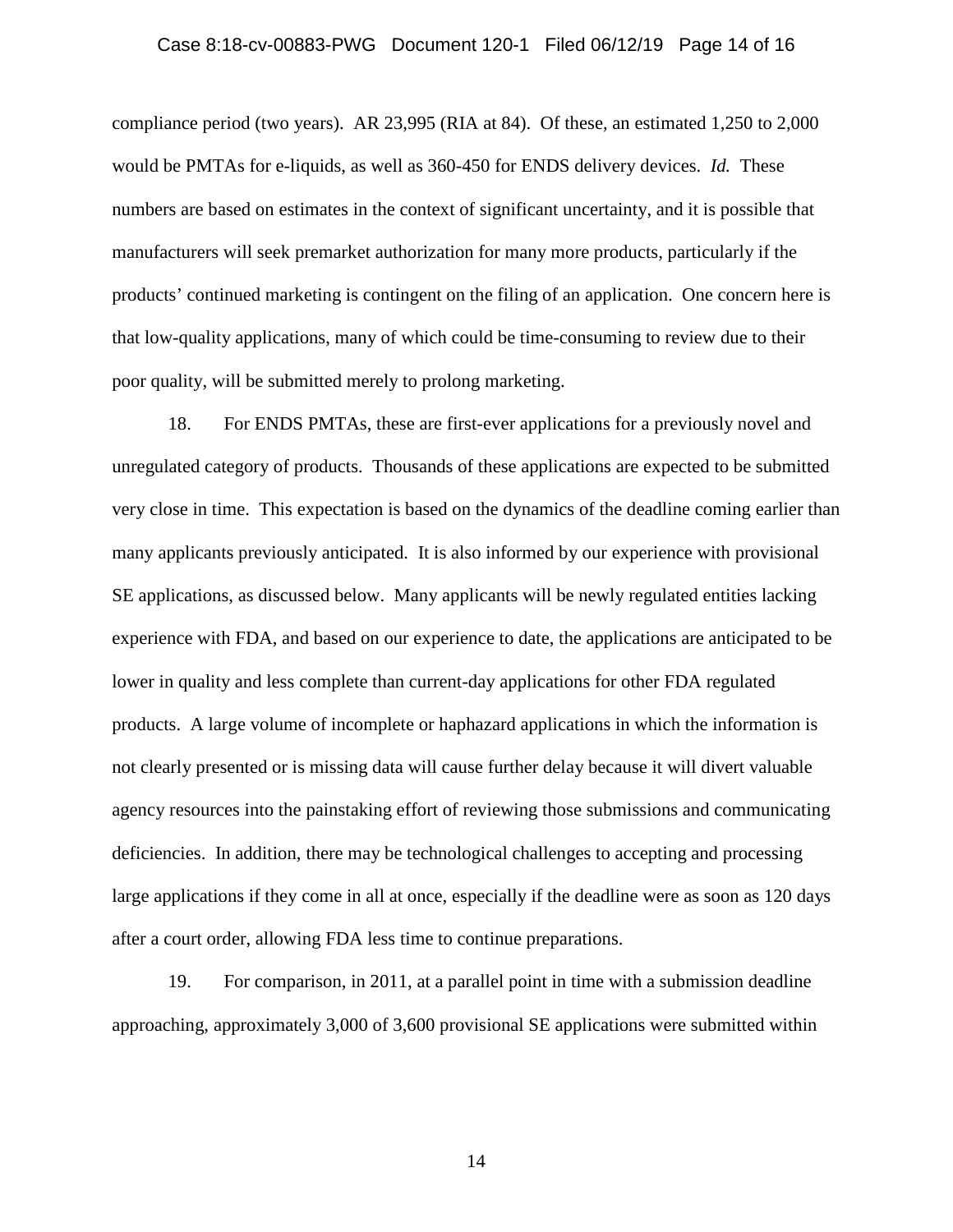### Case 8:18-cv-00883-PWG Document 120-1 Filed 06/12/19 Page 14 of 16

compliance period (two years). AR 23,995 (RIA at 84). Of these, an estimated 1,250 to 2,000 would be PMTAs for e-liquids, as well as 360-450 for ENDS delivery devices. *Id.* These numbers are based on estimates in the context of significant uncertainty, and it is possible that manufacturers will seek premarket authorization for many more products, particularly if the products' continued marketing is contingent on the filing of an application. One concern here is that low-quality applications, many of which could be time-consuming to review due to their poor quality, will be submitted merely to prolong marketing.

18. For ENDS PMTAs, these are first-ever applications for a previously novel and unregulated category of products. Thousands of these applications are expected to be submitted very close in time. This expectation is based on the dynamics of the deadline coming earlier than many applicants previously anticipated. It is also informed by our experience with provisional SE applications, as discussed below. Many applicants will be newly regulated entities lacking experience with FDA, and based on our experience to date, the applications are anticipated to be lower in quality and less complete than current-day applications for other FDA regulated products. A large volume of incomplete or haphazard applications in which the information is not clearly presented or is missing data will cause further delay because it will divert valuable agency resources into the painstaking effort of reviewing those submissions and communicating deficiencies. In addition, there may be technological challenges to accepting and processing large applications if they come in all at once, especially if the deadline were as soon as 120 days after a court order, allowing FDA less time to continue preparations.

19. For comparison, in 2011, at a parallel point in time with a submission deadline approaching, approximately 3,000 of 3,600 provisional SE applications were submitted within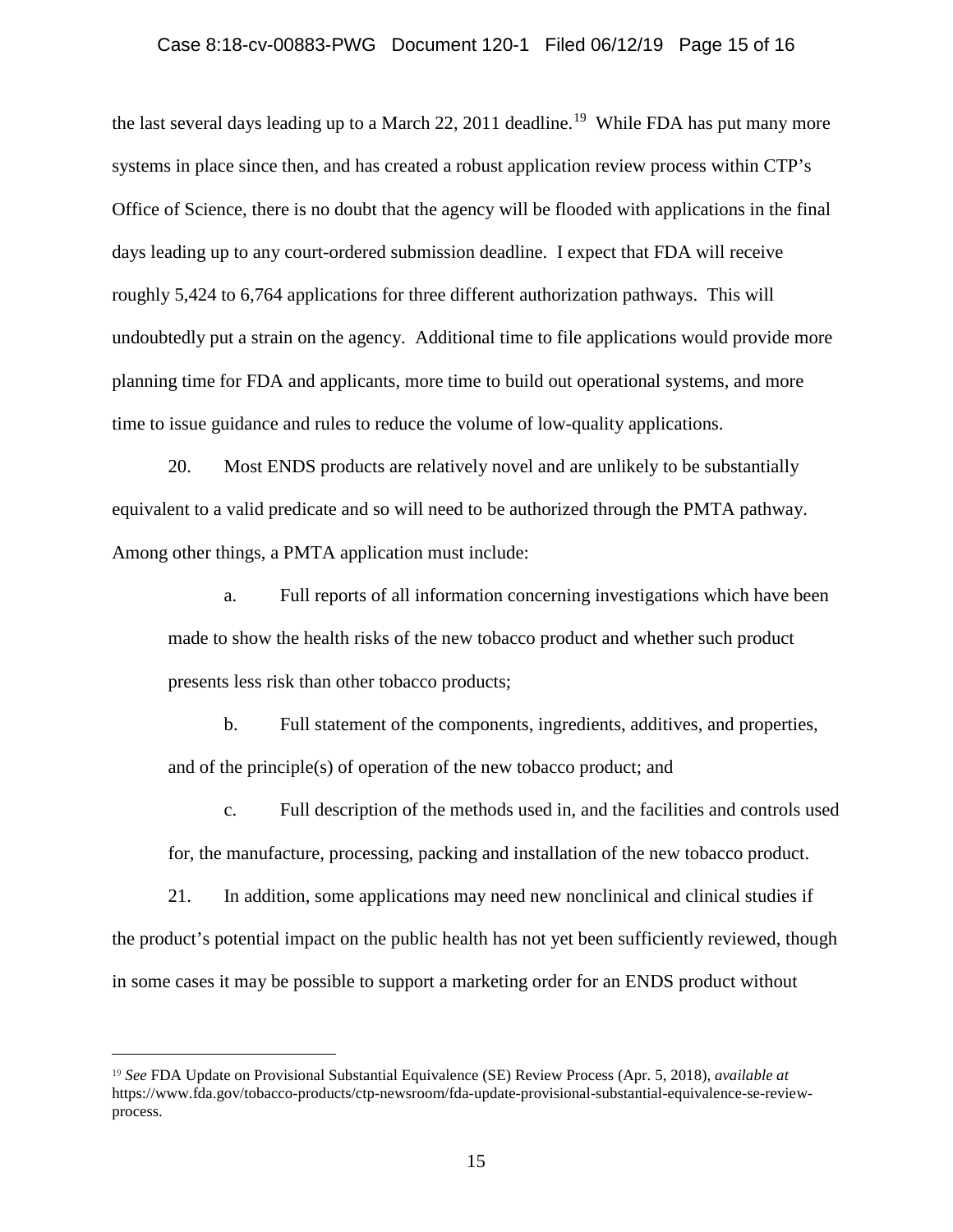# Case 8:18-cv-00883-PWG Document 120-1 Filed 06/12/19 Page 15 of 16

the last several days leading up to a March 22, 2011 deadline.<sup>19</sup> While FDA has put many more systems in place since then, and has created a robust application review process within CTP's Office of Science, there is no doubt that the agency will be flooded with applications in the final days leading up to any court-ordered submission deadline. I expect that FDA will receive roughly 5,424 to 6,764 applications for three different authorization pathways. This will undoubtedly put a strain on the agency. Additional time to file applications would provide more planning time for FDA and applicants, more time to build out operational systems, and more time to issue guidance and rules to reduce the volume of low-quality applications.

20. Most ENDS products are relatively novel and are unlikely to be substantially equivalent to a valid predicate and so will need to be authorized through the PMTA pathway. Among other things, a PMTA application must include:

a. Full reports of all information concerning investigations which have been made to show the health risks of the new tobacco product and whether such product presents less risk than other tobacco products;

b. Full statement of the components, ingredients, additives, and properties, and of the principle(s) of operation of the new tobacco product; and

c. Full description of the methods used in, and the facilities and controls used for, the manufacture, processing, packing and installation of the new tobacco product.

21. In addition, some applications may need new nonclinical and clinical studies if the product's potential impact on the public health has not yet been sufficiently reviewed, though in some cases it may be possible to support a marketing order for an ENDS product without

<span id="page-14-0"></span><sup>19</sup> *See* FDA Update on Provisional Substantial Equivalence (SE) Review Process (Apr. 5, 2018), *available at* https://www.fda.gov/tobacco-products/ctp-newsroom/fda-update-provisional-substantial-equivalence-se-reviewprocess.